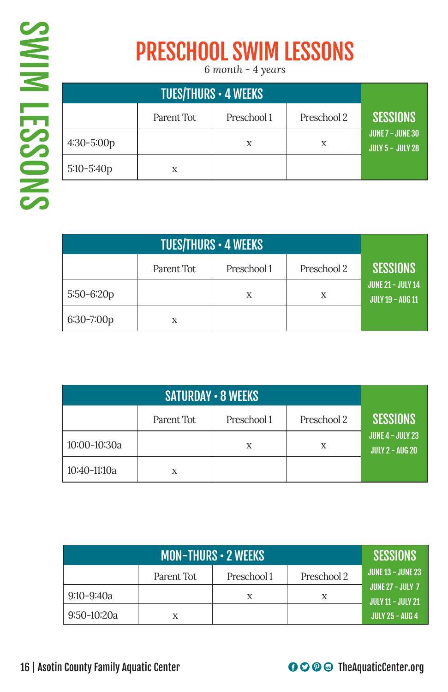## PRESCHOOL SWIM LESSONS

*6 month - 4 years*

|              | Parent Tot | Preschool 1 | Preschool 2 | <b>SESSIONS</b>                                |
|--------------|------------|-------------|-------------|------------------------------------------------|
| $4:30-5:00p$ |            | X           | Χ           | , JUNE 7 – JUNE 30'<br><b>JULY 5 - JULY 28</b> |
| $5:10-5:40p$ | X          |             |             |                                                |

|              | Parent Tot | <b>SESSIONS</b> |   |                                                     |
|--------------|------------|-----------------|---|-----------------------------------------------------|
| $5:50-6:20p$ |            | X               | X | <b>JUNE 21 - JULY 14</b><br><b>JULY 19 - AUG 11</b> |
| 6:30-7:00p   |            |                 |   |                                                     |

|              | Parent Tot | Preschool 1 | Preschool 2 | <b>SESSIONS</b>                                   |
|--------------|------------|-------------|-------------|---------------------------------------------------|
| 10:00-10:30a |            | X           | Χ           | <b>JUNE 4 - JULY 23</b><br><b>JULY 2 - AUG 20</b> |
| 10:40-11:10a | X          |             |             |                                                   |

|             | <b>SESSIONS</b> |                            |   |                                              |  |  |  |
|-------------|-----------------|----------------------------|---|----------------------------------------------|--|--|--|
|             | Parent Tot      | Preschool 2<br>Preschool 1 |   |                                              |  |  |  |
| 9:10-9:40a  |                 | Х                          | X | JUNE 27 - JULY 7<br><b>JULY 11 - JULY 21</b> |  |  |  |
| 9:50-10:20a | X               |                            |   | JULY 25 – AUG 4                              |  |  |  |